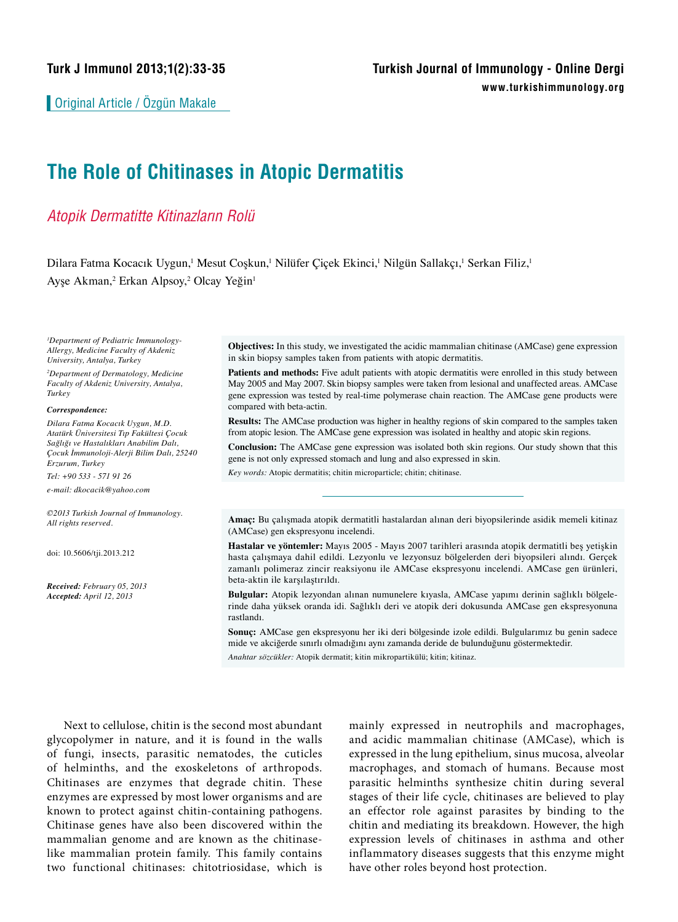Original Article / Özgün Makale

# **The Role of Chitinases in Atopic Dermatitis**

## *Atopik Dermatitte Kitinazların Rolü*

Dilara Fatma Kocacık Uygun,<sup>1</sup> Mesut Coşkun,<sup>1</sup> Nilüfer Çiçek Ekinci,<sup>1</sup> Nilgün Sallakçı,<sup>1</sup> Serkan Filiz,<sup>1</sup> Ayşe Akman,<sup>2</sup> Erkan Alpsoy,<sup>2</sup> Olcay Yeğin<sup>ı</sup>

*1 Department of Pediatric Immunology-Allergy, Medicine Faculty of Akdeniz University, Antalya, Turkey*

*2 Department of Dermatology, Medicine Faculty of Akdeniz University, Antalya, Turkey*

#### *Correspondence:*

*Dilara Fatma Kocacık Uygun, M.D. Atatürk Üniversitesi Tıp Fakültesi Çocuk Sağlığı ve Hastalıkları Anabilim Dalı, Çocuk İmmunoloji-Alerji Bilim Dalı, 25240 Erzurum, Turkey*

*Tel: +90 533 - 571 91 26*

*e-mail: dkocacik@yahoo.com*

*©2013 Turkish Journal of Immunology. All rights reserved.*

doi: 10.5606/tji.2013.212

*Received: February 05, 2013 Accepted: April 12, 2013*

**Objectives:** In this study, we investigated the acidic mammalian chitinase (AMCase) gene expression in skin biopsy samples taken from patients with atopic dermatitis.

**Patients and methods:** Five adult patients with atopic dermatitis were enrolled in this study between May 2005 and May 2007. Skin biopsy samples were taken from lesional and unaffected areas. AMCase gene expression was tested by real-time polymerase chain reaction. The AMCase gene products were compared with beta-actin.

**Results:** The AMCase production was higher in healthy regions of skin compared to the samples taken from atopic lesion. The AMCase gene expression was isolated in healthy and atopic skin regions.

**Conclusion:** The AMCase gene expression was isolated both skin regions. Our study shown that this gene is not only expressed stomach and lung and also expressed in skin.

*Key words:* Atopic dermatitis; chitin microparticle; chitin; chitinase.

**Amaç:** Bu çalışmada atopik dermatitli hastalardan alınan deri biyopsilerinde asidik memeli kitinaz (AMCase) gen ekspresyonu incelendi.

**Hastalar ve yöntemler:** Mayıs 2005 - Mayıs 2007 tarihleri arasında atopik dermatitli beş yetişkin hasta çalışmaya dahil edildi. Lezyonlu ve lezyonsuz bölgelerden deri biyopsileri alındı. Gerçek zamanlı polimeraz zincir reaksiyonu ile AMCase ekspresyonu incelendi. AMCase gen ürünleri, beta-aktin ile karşılaştırıldı.

**Bulgular:** Atopik lezyondan alınan numunelere kıyasla, AMCase yapımı derinin sağlıklı bölgelerinde daha yüksek oranda idi. Sağlıklı deri ve atopik deri dokusunda AMCase gen ekspresyonuna rastlandı.

**Sonuç:** AMCase gen ekspresyonu her iki deri bölgesinde izole edildi. Bulgularımız bu genin sadece mide ve akciğerde sınırlı olmadığını aynı zamanda deride de bulunduğunu göstermektedir. *Anahtar sözcükler:* Atopik dermatit; kitin mikropartikülü; kitin; kitinaz.

Next to cellulose, chitin is the second most abundant glycopolymer in nature, and it is found in the walls of fungi, insects, parasitic nematodes, the cuticles of helminths, and the exoskeletons of arthropods. Chitinases are enzymes that degrade chitin. These enzymes are expressed by most lower organisms and are known to protect against chitin-containing pathogens. Chitinase genes have also been discovered within the mammalian genome and are known as the chitinaselike mammalian protein family. This family contains two functional chitinases: chitotriosidase, which is

mainly expressed in neutrophils and macrophages, and acidic mammalian chitinase (AMCase), which is expressed in the lung epithelium, sinus mucosa, alveolar macrophages, and stomach of humans. Because most parasitic helminths synthesize chitin during several stages of their life cycle, chitinases are believed to play an effector role against parasites by binding to the chitin and mediating its breakdown. However, the high expression levels of chitinases in asthma and other inflammatory diseases suggests that this enzyme might have other roles beyond host protection.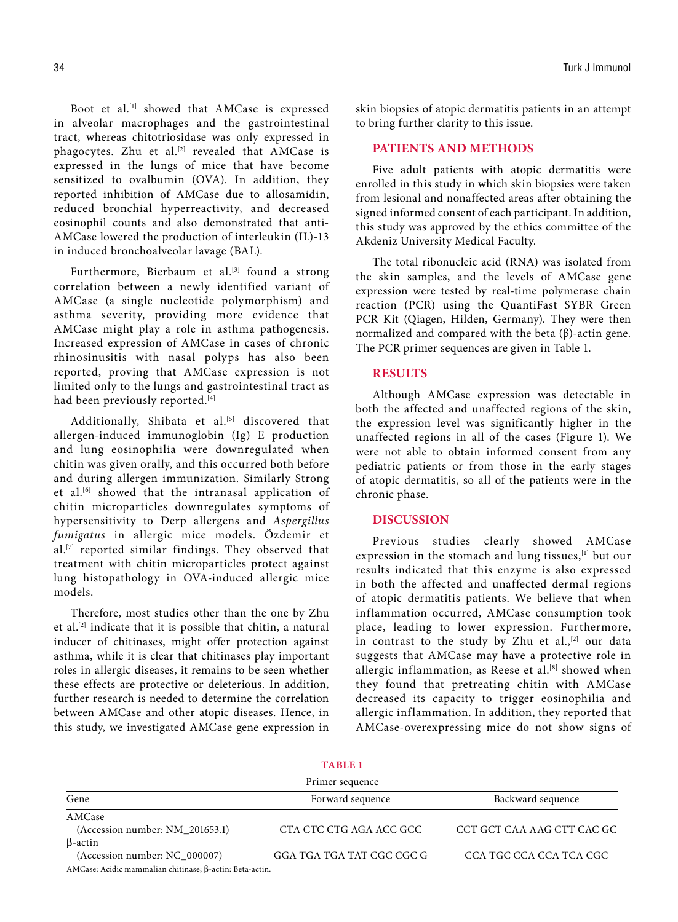Boot et al.<sup>[1]</sup> showed that AMCase is expressed in alveolar macrophages and the gastrointestinal tract, whereas chitotriosidase was only expressed in phagocytes. Zhu et al.<sup>[2]</sup> revealed that AMCase is expressed in the lungs of mice that have become sensitized to ovalbumin (OVA). In addition, they reported inhibition of AMCase due to allosamidin, reduced bronchial hyperreactivity, and decreased eosinophil counts and also demonstrated that anti-AMCase lowered the production of interleukin (IL)-13 in induced bronchoalveolar lavage (BAL).

Furthermore, Bierbaum et al.<sup>[3]</sup> found a strong correlation between a newly identified variant of AMCase (a single nucleotide polymorphism) and asthma severity, providing more evidence that AMCase might play a role in asthma pathogenesis. Increased expression of AMCase in cases of chronic rhinosinusitis with nasal polyps has also been reported, proving that AMCase expression is not limited only to the lungs and gastrointestinal tract as had been previously reported.<sup>[4]</sup>

Additionally, Shibata et al.<sup>[5]</sup> discovered that allergen-induced immunoglobin (Ig) E production and lung eosinophilia were downregulated when chitin was given orally, and this occurred both before and during allergen immunization. Similarly Strong et al.[6] showed that the intranasal application of chitin microparticles downregulates symptoms of hypersensitivity to Derp allergens and *Aspergillus fumigatus* in allergic mice models. Özdemir et al.[7] reported similar findings. They observed that treatment with chitin microparticles protect against lung histopathology in OVA-induced allergic mice models.

Therefore, most studies other than the one by Zhu et al.[2] indicate that it is possible that chitin, a natural inducer of chitinases, might offer protection against asthma, while it is clear that chitinases play important roles in allergic diseases, it remains to be seen whether these effects are protective or deleterious. In addition, further research is needed to determine the correlation between AMCase and other atopic diseases. Hence, in this study, we investigated AMCase gene expression in skin biopsies of atopic dermatitis patients in an attempt to bring further clarity to this issue.

### **PATIENTS AND METHODS**

Five adult patients with atopic dermatitis were enrolled in this study in which skin biopsies were taken from lesional and nonaffected areas after obtaining the signed informed consent of each participant. In addition, this study was approved by the ethics committee of the Akdeniz University Medical Faculty.

The total ribonucleic acid (RNA) was isolated from the skin samples, and the levels of AMCase gene expression were tested by real-time polymerase chain reaction (PCR) using the QuantiFast SYBR Green PCR Kit (Qiagen, Hilden, Germany). They were then normalized and compared with the beta (β)-actin gene. The PCR primer sequences are given in Table 1.

#### **RESULTS**

Although AMCase expression was detectable in both the affected and unaffected regions of the skin, the expression level was significantly higher in the unaffected regions in all of the cases (Figure 1). We were not able to obtain informed consent from any pediatric patients or from those in the early stages of atopic dermatitis, so all of the patients were in the chronic phase.

#### **DISCUSSION**

Previous studies clearly showed AMCase expression in the stomach and lung tissues,<sup>[1]</sup> but our results indicated that this enzyme is also expressed in both the affected and unaffected dermal regions of atopic dermatitis patients. We believe that when inflammation occurred, AMCase consumption took place, leading to lower expression. Furthermore, in contrast to the study by Zhu et al., $[2]$  our data suggests that AMCase may have a protective role in allergic inflammation, as Reese et al.<sup>[8]</sup> showed when they found that pretreating chitin with AMCase decreased its capacity to trigger eosinophilia and allergic inflammation. In addition, they reported that AMCase-overexpressing mice do not show signs of

|                                                         | 170 D.C.I                 |                            |
|---------------------------------------------------------|---------------------------|----------------------------|
| Primer sequence                                         |                           |                            |
| Gene                                                    | Forward sequence          | Backward sequence          |
| AMCase                                                  |                           |                            |
| (Accession number: NM_201653.1)                         | CTA CTC CTG AGA ACC GCC   | CCT GCT CAA AAG CTT CAC GC |
| $\beta$ -actin                                          |                           |                            |
| (Accession number: NC 000007)                           | GGA TGA TGA TAT CGC CGC G | CCA TGC CCA CCA TCA CGC    |
| AMCase: Acidic mammalian chitinase: B-actin: Beta-actin |                           |                            |

**Table 1**

AMCase: Acidic mammalian chitinase; β-actin: Beta-actin.